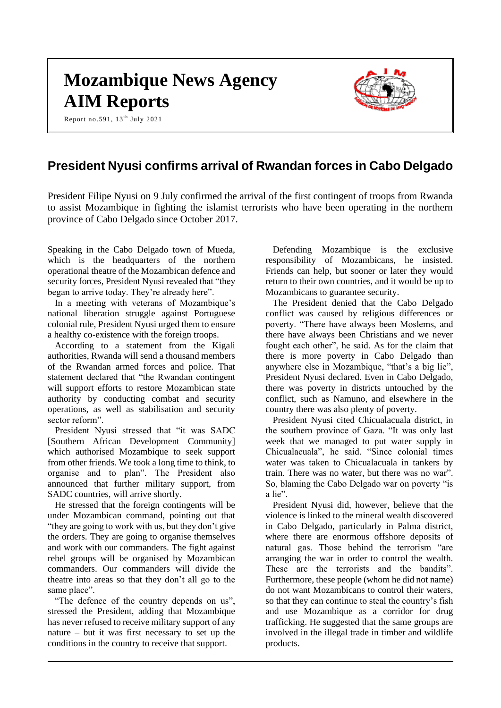# **Mozambique News Agency AIM Reports**

Report no.591, 13<sup>th</sup> July 2021



# **President Nyusi confirms arrival of Rwandan forces in Cabo Delgado**

President Filipe Nyusi on 9 July confirmed the arrival of the first contingent of troops from Rwanda to assist Mozambique in fighting the islamist terrorists who have been operating in the northern province of Cabo Delgado since October 2017.

Speaking in the Cabo Delgado town of Mueda, which is the headquarters of the northern operational theatre of the Mozambican defence and security forces, President Nyusi revealed that "they began to arrive today. They're already here".

In a meeting with veterans of Mozambique's national liberation struggle against Portuguese colonial rule, President Nyusi urged them to ensure a healthy co-existence with the foreign troops.

According to a statement from the Kigali authorities, Rwanda will send a thousand members of the Rwandan armed forces and police. That statement declared that "the Rwandan contingent will support efforts to restore Mozambican state authority by conducting combat and security operations, as well as stabilisation and security sector reform".

President Nyusi stressed that "it was SADC [Southern African Development Community] which authorised Mozambique to seek support from other friends. We took a long time to think, to organise and to plan". The President also announced that further military support, from SADC countries, will arrive shortly.

He stressed that the foreign contingents will be under Mozambican command, pointing out that "they are going to work with us, but they don't give the orders. They are going to organise themselves and work with our commanders. The fight against rebel groups will be organised by Mozambican commanders. Our commanders will divide the theatre into areas so that they don't all go to the same place".

"The defence of the country depends on us", stressed the President, adding that Mozambique has never refused to receive military support of any nature – but it was first necessary to set up the conditions in the country to receive that support.

Defending Mozambique is the exclusive responsibility of Mozambicans, he insisted. Friends can help, but sooner or later they would return to their own countries, and it would be up to Mozambicans to guarantee security.

The President denied that the Cabo Delgado conflict was caused by religious differences or poverty. "There have always been Moslems, and there have always been Christians and we never fought each other", he said. As for the claim that there is more poverty in Cabo Delgado than anywhere else in Mozambique, "that's a big lie", President Nyusi declared. Even in Cabo Delgado, there was poverty in districts untouched by the conflict, such as Namuno, and elsewhere in the country there was also plenty of poverty.

President Nyusi cited Chicualacuala district, in the southern province of Gaza. "It was only last week that we managed to put water supply in Chicualacuala", he said. "Since colonial times water was taken to Chicualacuala in tankers by train. There was no water, but there was no war". So, blaming the Cabo Delgado war on poverty "is a lie".

President Nyusi did, however, believe that the violence is linked to the mineral wealth discovered in Cabo Delgado, particularly in Palma district, where there are enormous offshore deposits of natural gas. Those behind the terrorism "are arranging the war in order to control the wealth. These are the terrorists and the bandits". Furthermore, these people (whom he did not name) do not want Mozambicans to control their waters, so that they can continue to steal the country's fish and use Mozambique as a corridor for drug trafficking. He suggested that the same groups are involved in the illegal trade in timber and wildlife products.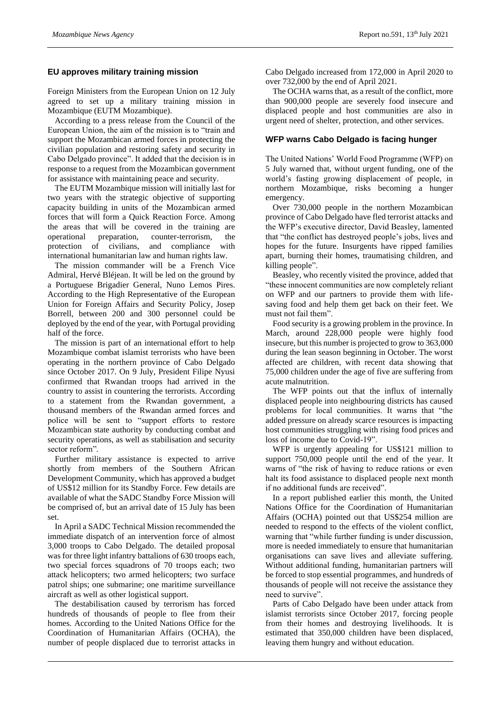#### **EU approves military training mission**

Foreign Ministers from the European Union on 12 July agreed to set up a military training mission in Mozambique (EUTM Mozambique).

According to a press release from the Council of the European Union, the aim of the mission is to "train and support the Mozambican armed forces in protecting the civilian population and restoring safety and security in Cabo Delgado province". It added that the decision is in response to a request from the Mozambican government for assistance with maintaining peace and security.

The EUTM Mozambique mission will initially last for two years with the strategic objective of supporting capacity building in units of the Mozambican armed forces that will form a Quick Reaction Force. Among the areas that will be covered in the training are operational preparation, counter-terrorism, the protection of civilians, and compliance with international humanitarian law and human rights law.

The mission commander will be a French Vice Admiral, Hervé Bléjean. It will be led on the ground by a Portuguese Brigadier General, Nuno Lemos Pires. According to the High Representative of the European Union for Foreign Affairs and Security Policy, Josep Borrell, between 200 and 300 personnel could be deployed by the end of the year, with Portugal providing half of the force.

The mission is part of an international effort to help Mozambique combat islamist terrorists who have been operating in the northern province of Cabo Delgado since October 2017. On 9 July, President Filipe Nyusi confirmed that Rwandan troops had arrived in the country to assist in countering the terrorists. According to a statement from the Rwandan government, a thousand members of the Rwandan armed forces and police will be sent to "support efforts to restore Mozambican state authority by conducting combat and security operations, as well as stabilisation and security sector reform".

Further military assistance is expected to arrive shortly from members of the Southern African Development Community, which has approved a budget of US\$12 million for its Standby Force. Few details are available of what the SADC Standby Force Mission will be comprised of, but an arrival date of 15 July has been set.

In April a SADC Technical Mission recommended the immediate dispatch of an intervention force of almost 3,000 troops to Cabo Delgado. The detailed proposal was for three light infantry battalions of 630 troops each, two special forces squadrons of 70 troops each; two attack helicopters; two armed helicopters; two surface patrol ships; one submarine; one maritime surveillance aircraft as well as other logistical support.

The destabilisation caused by terrorism has forced hundreds of thousands of people to flee from their homes. According to the United Nations Office for the Coordination of Humanitarian Affairs (OCHA), the number of people displaced due to terrorist attacks in

Cabo Delgado increased from 172,000 in April 2020 to over 732,000 by the end of April 2021.

The OCHA warns that, as a result of the conflict, more than 900,000 people are severely food insecure and displaced people and host communities are also in urgent need of shelter, protection, and other services.

# **WFP warns Cabo Delgado is facing hunger**

The United Nations' World Food Programme (WFP) on 5 July warned that, without urgent funding, one of the world's fasting growing displacement of people, in northern Mozambique, risks becoming a hunger emergency.

Over 730,000 people in the northern Mozambican province of Cabo Delgado have fled terrorist attacks and the WFP's executive director, David Beasley, lamented that "the conflict has destroyed people's jobs, lives and hopes for the future. Insurgents have ripped families apart, burning their homes, traumatising children, and killing people".

Beasley, who recently visited the province, added that "these innocent communities are now completely reliant on WFP and our partners to provide them with lifesaving food and help them get back on their feet. We must not fail them".

Food security is a growing problem in the province. In March, around 228,000 people were highly food insecure, but this number is projected to grow to 363,000 during the lean season beginning in October. The worst affected are children, with recent data showing that 75,000 children under the age of five are suffering from acute malnutrition.

The WFP points out that the influx of internally displaced people into neighbouring districts has caused problems for local communities. It warns that "the added pressure on already scarce resources is impacting host communities struggling with rising food prices and loss of income due to Covid-19".

WFP is urgently appealing for US\$121 million to support 750,000 people until the end of the year. It warns of "the risk of having to reduce rations or even halt its food assistance to displaced people next month if no additional funds are received".

In a report published earlier this month, the United Nations Office for the Coordination of Humanitarian Affairs (OCHA) pointed out that US\$254 million are needed to respond to the effects of the violent conflict, warning that "while further funding is under discussion, more is needed immediately to ensure that humanitarian organisations can save lives and alleviate suffering. Without additional funding, humanitarian partners will be forced to stop essential programmes, and hundreds of thousands of people will not receive the assistance they need to survive".

Parts of Cabo Delgado have been under attack from islamist terrorists since October 2017, forcing people from their homes and destroying livelihoods. It is estimated that 350,000 children have been displaced, leaving them hungry and without education.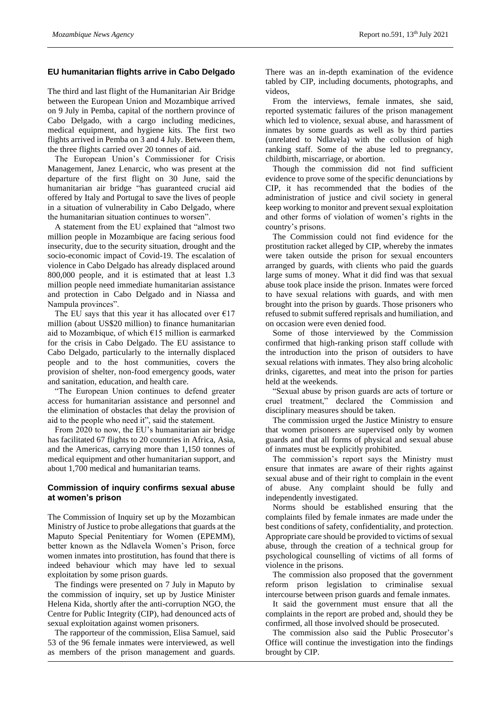### **EU humanitarian flights arrive in Cabo Delgado**

The third and last flight of the Humanitarian Air Bridge between the European Union and Mozambique arrived on 9 July in Pemba, capital of the northern province of Cabo Delgado, with a cargo including medicines, medical equipment, and hygiene kits. The first two flights arrived in Pemba on 3 and 4 July. Between them, the three flights carried over 20 tonnes of aid.

The European Union's Commissioner for Crisis Management, Janez Lenarcic, who was present at the departure of the first flight on 30 June, said the humanitarian air bridge "has guaranteed crucial aid offered by Italy and Portugal to save the lives of people in a situation of vulnerability in Cabo Delgado, where the humanitarian situation continues to worsen".

A statement from the EU explained that "almost two million people in Mozambique are facing serious food insecurity, due to the security situation, drought and the socio-economic impact of Covid-19. The escalation of violence in Cabo Delgado has already displaced around 800,000 people, and it is estimated that at least 1.3 million people need immediate humanitarian assistance and protection in Cabo Delgado and in Niassa and Nampula provinces".

The EU says that this year it has allocated over  $\epsilon$ 17 million (about US\$20 million) to finance humanitarian aid to Mozambique, of which €15 million is earmarked for the crisis in Cabo Delgado. The EU assistance to Cabo Delgado, particularly to the internally displaced people and to the host communities, covers the provision of shelter, non-food emergency goods, water and sanitation, education, and health care.

"The European Union continues to defend greater access for humanitarian assistance and personnel and the elimination of obstacles that delay the provision of aid to the people who need it", said the statement.

From 2020 to now, the EU's humanitarian air bridge has facilitated 67 flights to 20 countries in Africa, Asia, and the Americas, carrying more than 1,150 tonnes of medical equipment and other humanitarian support, and about 1,700 medical and humanitarian teams.

### **Commission of inquiry confirms sexual abuse at women's prison**

The Commission of Inquiry set up by the Mozambican Ministry of Justice to probe allegations that guards at the Maputo Special Penitentiary for Women (EPEMM), better known as the Ndlavela Women's Prison, force women inmates into prostitution, has found that there is indeed behaviour which may have led to sexual exploitation by some prison guards.

The findings were presented on 7 July in Maputo by the commission of inquiry, set up by Justice Minister Helena Kida, shortly after the anti-corruption NGO, the Centre for Public Integrity (CIP), had denounced acts of sexual exploitation against women prisoners.

The rapporteur of the commission, Elisa Samuel, said 53 of the 96 female inmates were interviewed, as well as members of the prison management and guards.

There was an in-depth examination of the evidence tabled by CIP, including documents, photographs, and videos,

From the interviews, female inmates, she said, reported systematic failures of the prison management which led to violence, sexual abuse, and harassment of inmates by some guards as well as by third parties (unrelated to Ndlavela) with the collusion of high ranking staff. Some of the abuse led to pregnancy, childbirth, miscarriage, or abortion.

Though the commission did not find sufficient evidence to prove some of the specific denunciations by CIP, it has recommended that the bodies of the administration of justice and civil society in general keep working to monitor and prevent sexual exploitation and other forms of violation of women's rights in the country's prisons.

The Commission could not find evidence for the prostitution racket alleged by CIP, whereby the inmates were taken outside the prison for sexual encounters arranged by guards, with clients who paid the guards large sums of money. What it did find was that sexual abuse took place inside the prison. Inmates were forced to have sexual relations with guards, and with men brought into the prison by guards. Those prisoners who refused to submit suffered reprisals and humiliation, and on occasion were even denied food.

Some of those interviewed by the Commission confirmed that high-ranking prison staff collude with the introduction into the prison of outsiders to have sexual relations with inmates. They also bring alcoholic drinks, cigarettes, and meat into the prison for parties held at the weekends.

"Sexual abuse by prison guards are acts of torture or cruel treatment," declared the Commission and disciplinary measures should be taken.

The commission urged the Justice Ministry to ensure that women prisoners are supervised only by women guards and that all forms of physical and sexual abuse of inmates must be explicitly prohibited.

The commission's report says the Ministry must ensure that inmates are aware of their rights against sexual abuse and of their right to complain in the event of abuse. Any complaint should be fully and independently investigated.

Norms should be established ensuring that the complaints filed by female inmates are made under the best conditions of safety, confidentiality, and protection. Appropriate care should be provided to victims of sexual abuse, through the creation of a technical group for psychological counselling of victims of all forms of violence in the prisons.

The commission also proposed that the government reform prison legislation to criminalise sexual intercourse between prison guards and female inmates.

It said the government must ensure that all the complaints in the report are probed and, should they be confirmed, all those involved should be prosecuted.

The commission also said the Public Prosecutor's Office will continue the investigation into the findings brought by CIP.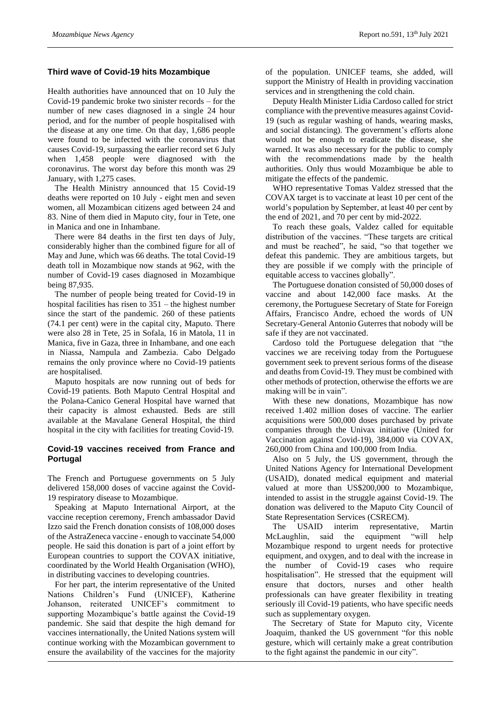### **Third wave of Covid-19 hits Mozambique**

Health authorities have announced that on 10 July the Covid-19 pandemic broke two sinister records – for the number of new cases diagnosed in a single 24 hour period, and for the number of people hospitalised with the disease at any one time. On that day, 1,686 people were found to be infected with the coronavirus that causes Covid-19, surpassing the earlier record set 6 July when 1,458 people were diagnosed with the coronavirus. The worst day before this month was 29 January, with 1,275 cases.

The Health Ministry announced that 15 Covid-19 deaths were reported on 10 July - eight men and seven women, all Mozambican citizens aged between 24 and 83. Nine of them died in Maputo city, four in Tete, one in Manica and one in Inhambane.

There were 84 deaths in the first ten days of July, considerably higher than the combined figure for all of May and June, which was 66 deaths. The total Covid-19 death toll in Mozambique now stands at 962, with the number of Covid-19 cases diagnosed in Mozambique being 87,935.

The number of people being treated for Covid-19 in hospital facilities has risen to 351 – the highest number since the start of the pandemic. 260 of these patients (74.1 per cent) were in the capital city, Maputo. There were also 28 in Tete, 25 in Sofala, 16 in Matola, 11 in Manica, five in Gaza, three in Inhambane, and one each in Niassa, Nampula and Zambezia. Cabo Delgado remains the only province where no Covid-19 patients are hospitalised.

Maputo hospitals are now running out of beds for Covid-19 patients. Both Maputo Central Hospital and the Polana-Canico General Hospital have warned that their capacity is almost exhausted. Beds are still available at the Mavalane General Hospital, the third hospital in the city with facilities for treating Covid-19.

# **Covid-19 vaccines received from France and Portugal**

The French and Portuguese governments on 5 July delivered 158,000 doses of vaccine against the Covid-19 respiratory disease to Mozambique.

Speaking at Maputo International Airport, at the vaccine reception ceremony, French ambassador David Izzo said the French donation consists of 108,000 doses of the AstraZeneca vaccine - enough to vaccinate 54,000 people. He said this donation is part of a joint effort by European countries to support the COVAX initiative, coordinated by the World Health Organisation (WHO), in distributing vaccines to developing countries.

For her part, the interim representative of the United Nations Children's Fund (UNICEF), Katherine Johanson, reiterated UNICEF's commitment to supporting Mozambique's battle against the Covid-19 pandemic. She said that despite the high demand for vaccines internationally, the United Nations system will continue working with the Mozambican government to ensure the availability of the vaccines for the majority

of the population. UNICEF teams, she added, will support the Ministry of Health in providing vaccination services and in strengthening the cold chain.

Deputy Health Minister Lidia Cardoso called for strict compliance with the preventive measures against Covid-19 (such as regular washing of hands, wearing masks, and social distancing). The government's efforts alone would not be enough to eradicate the disease, she warned. It was also necessary for the public to comply with the recommendations made by the health authorities. Only thus would Mozambique be able to mitigate the effects of the pandemic.

WHO representative Tomas Valdez stressed that the COVAX target is to vaccinate at least 10 per cent of the world's population by September, at least 40 per cent by the end of 2021, and 70 per cent by mid-2022.

To reach these goals, Valdez called for equitable distribution of the vaccines. "These targets are critical and must be reached", he said, "so that together we defeat this pandemic. They are ambitious targets, but they are possible if we comply with the principle of equitable access to vaccines globally".

The Portuguese donation consisted of 50,000 doses of vaccine and about 142,000 face masks. At the ceremony, the Portuguese Secretary of State for Foreign Affairs, Francisco Andre, echoed the words of UN Secretary-General Antonio Guterres that nobody will be safe if they are not vaccinated.

Cardoso told the Portuguese delegation that "the vaccines we are receiving today from the Portuguese government seek to prevent serious forms of the disease and deaths from Covid-19. They must be combined with other methods of protection, otherwise the efforts we are making will be in vain".

With these new donations, Mozambique has now received 1.402 million doses of vaccine. The earlier acquisitions were 500,000 doses purchased by private companies through the Univax initiative (United for Vaccination against Covid-19), 384,000 via COVAX, 260,000 from China and 100,000 from India.

Also on 5 July, the US government, through the United Nations Agency for International Development (USAID), donated medical equipment and material valued at more than US\$200,000 to Mozambique, intended to assist in the struggle against Covid-19. The donation was delivered to the Maputo City Council of State Representation Services (CSRECM).

The USAID interim representative, Martin McLaughlin, said the equipment "will help Mozambique respond to urgent needs for protective equipment, and oxygen, and to deal with the increase in the number of Covid-19 cases who require hospitalisation". He stressed that the equipment will ensure that doctors, nurses and other health professionals can have greater flexibility in treating seriously ill Covid-19 patients, who have specific needs such as supplementary oxygen.

The Secretary of State for Maputo city, Vicente Joaquim, thanked the US government "for this noble gesture, which will certainly make a great contribution to the fight against the pandemic in our city".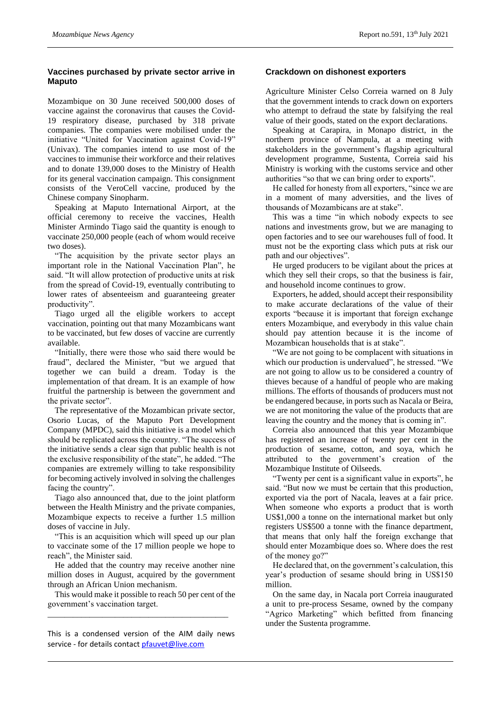# **Vaccines purchased by private sector arrive in Maputo**

Mozambique on 30 June received 500,000 doses of vaccine against the coronavirus that causes the Covid-19 respiratory disease, purchased by 318 private companies. The companies were mobilised under the initiative "United for Vaccination against Covid-19" (Univax). The companies intend to use most of the vaccines to immunise their workforce and their relatives and to donate 139,000 doses to the Ministry of Health for its general vaccination campaign. This consignment consists of the VeroCell vaccine, produced by the Chinese company Sinopharm.

Speaking at Maputo International Airport, at the official ceremony to receive the vaccines, Health Minister Armindo Tiago said the quantity is enough to vaccinate 250,000 people (each of whom would receive two doses).

"The acquisition by the private sector plays an important role in the National Vaccination Plan", he said. "It will allow protection of productive units at risk from the spread of Covid-19, eventually contributing to lower rates of absenteeism and guaranteeing greater productivity".

Tiago urged all the eligible workers to accept vaccination, pointing out that many Mozambicans want to be vaccinated, but few doses of vaccine are currently available.

"Initially, there were those who said there would be fraud", declared the Minister, "but we argued that together we can build a dream. Today is the implementation of that dream. It is an example of how fruitful the partnership is between the government and the private sector".

The representative of the Mozambican private sector, Osorio Lucas, of the Maputo Port Development Company (MPDC), said this initiative is a model which should be replicated across the country. "The success of the initiative sends a clear sign that public health is not the exclusive responsibility of the state", he added. "The companies are extremely willing to take responsibility for becoming actively involved in solving the challenges facing the country".

Tiago also announced that, due to the joint platform between the Health Ministry and the private companies, Mozambique expects to receive a further 1.5 million doses of vaccine in July.

"This is an acquisition which will speed up our plan to vaccinate some of the 17 million people we hope to reach", the Minister said.

He added that the country may receive another nine million doses in August, acquired by the government through an African Union mechanism.

This would make it possible to reach 50 per cent of the government's vaccination target.

\_\_\_\_\_\_\_\_\_\_\_\_\_\_\_\_\_\_\_\_\_\_\_\_\_\_\_\_\_\_\_\_\_\_\_\_\_\_\_\_\_\_\_

This is a condensed version of the AIM daily news service - for details contac[t pfauvet@live.com](mailto:pfauvet@live.com)

### **Crackdown on dishonest exporters**

Agriculture Minister Celso Correia warned on 8 July that the government intends to crack down on exporters who attempt to defraud the state by falsifying the real value of their goods, stated on the export declarations.

Speaking at Carapira, in Monapo district, in the northern province of Nampula, at a meeting with stakeholders in the government's flagship agricultural development programme, Sustenta, Correia said his Ministry is working with the customs service and other authorities "so that we can bring order to exports".

He called for honesty from all exporters, "since we are in a moment of many adversities, and the lives of thousands of Mozambicans are at stake".

This was a time "in which nobody expects to see nations and investments grow, but we are managing to open factories and to see our warehouses full of food. It must not be the exporting class which puts at risk our path and our objectives".

He urged producers to be vigilant about the prices at which they sell their crops, so that the business is fair, and household income continues to grow.

Exporters, he added, should accept their responsibility to make accurate declarations of the value of their exports "because it is important that foreign exchange enters Mozambique, and everybody in this value chain should pay attention because it is the income of Mozambican households that is at stake".

"We are not going to be complacent with situations in which our production is undervalued", he stressed. "We are not going to allow us to be considered a country of thieves because of a handful of people who are making millions. The efforts of thousands of producers must not be endangered because, in ports such as Nacala or Beira, we are not monitoring the value of the products that are leaving the country and the money that is coming in".

Correia also announced that this year Mozambique has registered an increase of twenty per cent in the production of sesame, cotton, and soya, which he attributed to the government's creation of the Mozambique Institute of Oilseeds.

"Twenty per cent is a significant value in exports", he said. "But now we must be certain that this production, exported via the port of Nacala, leaves at a fair price. When someone who exports a product that is worth US\$1,000 a tonne on the international market but only registers US\$500 a tonne with the finance department, that means that only half the foreign exchange that should enter Mozambique does so. Where does the rest of the money go?"

He declared that, on the government's calculation, this year's production of sesame should bring in US\$150 million.

On the same day, in Nacala port Correia inaugurated a unit to pre-process Sesame, owned by the company "Agrico Marketing" which befitted from financing under the Sustenta programme.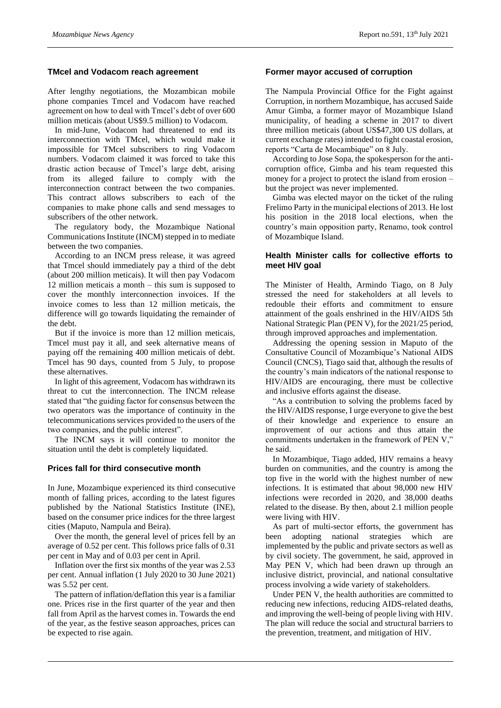#### **TMcel and Vodacom reach agreement**

After lengthy negotiations, the Mozambican mobile phone companies Tmcel and Vodacom have reached agreement on how to deal with Tmcel's debt of over 600 million meticais (about US\$9.5 million) to Vodacom.

In mid-June, Vodacom had threatened to end its interconnection with TMcel, which would make it impossible for TMcel subscribers to ring Vodacom numbers. Vodacom claimed it was forced to take this drastic action because of Tmcel's large debt, arising from its alleged failure to comply with the interconnection contract between the two companies. This contract allows subscribers to each of the companies to make phone calls and send messages to subscribers of the other network.

The regulatory body, the Mozambique National Communications Institute (INCM) stepped in to mediate between the two companies.

According to an INCM press release, it was agreed that Tmcel should immediately pay a third of the debt (about 200 million meticais). It will then pay Vodacom 12 million meticais a month – this sum is supposed to cover the monthly interconnection invoices. If the invoice comes to less than 12 million meticais, the difference will go towards liquidating the remainder of the debt.

But if the invoice is more than 12 million meticais, Tmcel must pay it all, and seek alternative means of paying off the remaining 400 million meticais of debt. Tmcel has 90 days, counted from 5 July, to propose these alternatives.

In light of this agreement, Vodacom has withdrawn its threat to cut the interconnection. The INCM release stated that "the guiding factor for consensus between the two operators was the importance of continuity in the telecommunications services provided to the users of the two companies, and the public interest".

The INCM says it will continue to monitor the situation until the debt is completely liquidated.

#### **Prices fall for third consecutive month**

In June, Mozambique experienced its third consecutive month of falling prices, according to the latest figures published by the National Statistics Institute (INE), based on the consumer price indices for the three largest cities (Maputo, Nampula and Beira).

Over the month, the general level of prices fell by an average of 0.52 per cent. This follows price falls of 0.31 per cent in May and of 0.03 per cent in April.

Inflation over the first six months of the year was 2.53 per cent. Annual inflation (1 July 2020 to 30 June 2021) was 5.52 per cent.

The pattern of inflation/deflation this year is a familiar one. Prices rise in the first quarter of the year and then fall from April as the harvest comes in. Towards the end of the year, as the festive season approaches, prices can be expected to rise again.

### **Former mayor accused of corruption**

The Nampula Provincial Office for the Fight against Corruption, in northern Mozambique, has accused Saide Amur Gimba, a former mayor of Mozambique Island municipality, of heading a scheme in 2017 to divert three million meticais (about US\$47,300 US dollars, at current exchange rates) intended to fight coastal erosion, reports "Carta de Mocambique" on 8 July.

According to Jose Sopa, the spokesperson for the anticorruption office, Gimba and his team requested this money for a project to protect the island from erosion – but the project was never implemented.

Gimba was elected mayor on the ticket of the ruling Frelimo Party in the municipal elections of 2013. He lost his position in the 2018 local elections, when the country's main opposition party, Renamo, took control of Mozambique Island.

# **Health Minister calls for collective efforts to meet HIV goal**

The Minister of Health, Armindo Tiago, on 8 July stressed the need for stakeholders at all levels to redouble their efforts and commitment to ensure attainment of the goals enshrined in the HIV/AIDS 5th National Strategic Plan (PEN V), for the 2021/25 period, through improved approaches and implementation.

Addressing the opening session in Maputo of the Consultative Council of Mozambique's National AIDS Council (CNCS), Tiago said that, although the results of the country's main indicators of the national response to HIV/AIDS are encouraging, there must be collective and inclusive efforts against the disease.

"As a contribution to solving the problems faced by the HIV/AIDS response, I urge everyone to give the best of their knowledge and experience to ensure an improvement of our actions and thus attain the commitments undertaken in the framework of PEN V," he said.

In Mozambique, Tiago added, HIV remains a heavy burden on communities, and the country is among the top five in the world with the highest number of new infections. It is estimated that about 98,000 new HIV infections were recorded in 2020, and 38,000 deaths related to the disease. By then, about 2.1 million people were living with HIV.

As part of multi-sector efforts, the government has been adopting national strategies which are implemented by the public and private sectors as well as by civil society. The government, he said, approved in May PEN V, which had been drawn up through an inclusive district, provincial, and national consultative process involving a wide variety of stakeholders.

Under PEN V, the health authorities are committed to reducing new infections, reducing AIDS-related deaths, and improving the well-being of people living with HIV. The plan will reduce the social and structural barriers to the prevention, treatment, and mitigation of HIV.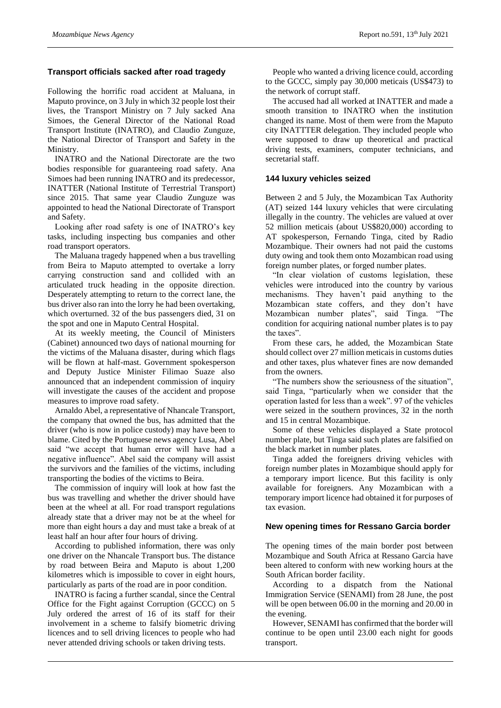# **Transport officials sacked after road tragedy**

Following the horrific road accident at Maluana, in Maputo province, on 3 July in which 32 people lost their lives, the Transport Ministry on 7 July sacked Ana Simoes, the General Director of the National Road Transport Institute (INATRO), and Claudio Zunguze, the National Director of Transport and Safety in the Ministry.

INATRO and the National Directorate are the two bodies responsible for guaranteeing road safety. Ana Simoes had been running INATRO and its predecessor, INATTER (National Institute of Terrestrial Transport) since 2015. That same year Claudio Zunguze was appointed to head the National Directorate of Transport and Safety.

Looking after road safety is one of INATRO's key tasks, including inspecting bus companies and other road transport operators.

The Maluana tragedy happened when a bus travelling from Beira to Maputo attempted to overtake a lorry carrying construction sand and collided with an articulated truck heading in the opposite direction. Desperately attempting to return to the correct lane, the bus driver also ran into the lorry he had been overtaking, which overturned. 32 of the bus passengers died, 31 on the spot and one in Maputo Central Hospital.

At its weekly meeting, the Council of Ministers (Cabinet) announced two days of national mourning for the victims of the Maluana disaster, during which flags will be flown at half-mast. Government spokesperson and Deputy Justice Minister Filimao Suaze also announced that an independent commission of inquiry will investigate the causes of the accident and propose measures to improve road safety.

Arnaldo Abel, a representative of Nhancale Transport, the company that owned the bus, has admitted that the driver (who is now in police custody) may have been to blame. Cited by the Portuguese news agency Lusa, Abel said "we accept that human error will have had a negative influence". Abel said the company will assist the survivors and the families of the victims, including transporting the bodies of the victims to Beira.

The commission of inquiry will look at how fast the bus was travelling and whether the driver should have been at the wheel at all. For road transport regulations already state that a driver may not be at the wheel for more than eight hours a day and must take a break of at least half an hour after four hours of driving.

According to published information, there was only one driver on the Nhancale Transport bus. The distance by road between Beira and Maputo is about 1,200 kilometres which is impossible to cover in eight hours, particularly as parts of the road are in poor condition.

INATRO is facing a further scandal, since the Central Office for the Fight against Corruption (GCCC) on 5 July ordered the arrest of 16 of its staff for their involvement in a scheme to falsify biometric driving licences and to sell driving licences to people who had never attended driving schools or taken driving tests.

People who wanted a driving licence could, according to the GCCC, simply pay 30,000 meticais (US\$473) to the network of corrupt staff.

The accused had all worked at INATTER and made a smooth transition to INATRO when the institution changed its name. Most of them were from the Maputo city INATTTER delegation. They included people who were supposed to draw up theoretical and practical driving tests, examiners, computer technicians, and secretarial staff.

# **144 luxury vehicles seized**

Between 2 and 5 July, the Mozambican Tax Authority (AT) seized 144 luxury vehicles that were circulating illegally in the country. The vehicles are valued at over 52 million meticais (about US\$820,000) according to AT spokesperson, Fernando Tinga, cited by Radio Mozambique. Their owners had not paid the customs duty owing and took them onto Mozambican road using foreign number plates, or forged number plates.

"In clear violation of customs legislation, these vehicles were introduced into the country by various mechanisms. They haven't paid anything to the Mozambican state coffers, and they don't have Mozambican number plates", said Tinga. "The condition for acquiring national number plates is to pay the taxes".

From these cars, he added, the Mozambican State should collect over 27 million meticais in customs duties and other taxes, plus whatever fines are now demanded from the owners.

"The numbers show the seriousness of the situation", said Tinga, "particularly when we consider that the operation lasted for less than a week". 97 of the vehicles were seized in the southern provinces, 32 in the north and 15 in central Mozambique.

Some of these vehicles displayed a State protocol number plate, but Tinga said such plates are falsified on the black market in number plates.

Tinga added the foreigners driving vehicles with foreign number plates in Mozambique should apply for a temporary import licence. But this facility is only available for foreigners. Any Mozambican with a temporary import licence had obtained it for purposes of tax evasion.

# **New opening times for Ressano Garcia border**

The opening times of the main border post between Mozambique and South Africa at Ressano Garcia have been altered to conform with new working hours at the South African border facility.

According to a dispatch from the National Immigration Service (SENAMI) from 28 June, the post will be open between 06.00 in the morning and 20.00 in the evening.

However, SENAMI has confirmed that the border will continue to be open until 23.00 each night for goods transport.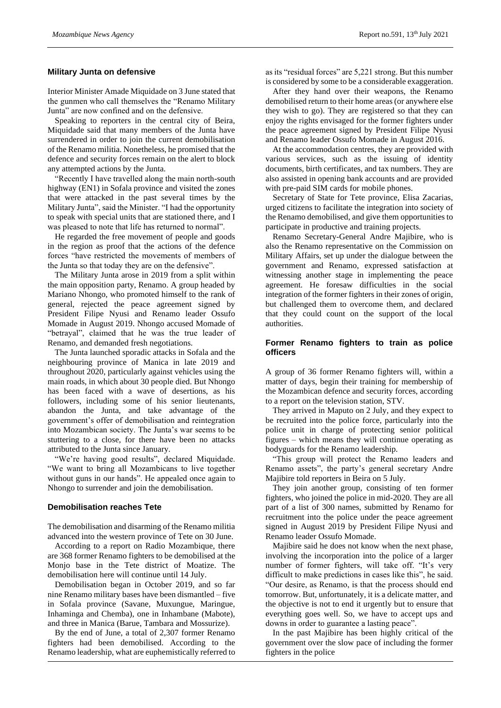#### **Military Junta on defensive**

Interior Minister Amade Miquidade on 3 June stated that the gunmen who call themselves the "Renamo Military Junta" are now confined and on the defensive.

Speaking to reporters in the central city of Beira, Miquidade said that many members of the Junta have surrendered in order to join the current demobilisation of the Renamo militia. Nonetheless, he promised that the defence and security forces remain on the alert to block any attempted actions by the Junta.

"Recently I have travelled along the main north-south highway (EN1) in Sofala province and visited the zones that were attacked in the past several times by the Military Junta", said the Minister. "I had the opportunity to speak with special units that are stationed there, and I was pleased to note that life has returned to normal".

He regarded the free movement of people and goods in the region as proof that the actions of the defence forces "have restricted the movements of members of the Junta so that today they are on the defensive".

The Military Junta arose in 2019 from a split within the main opposition party, Renamo. A group headed by Mariano Nhongo, who promoted himself to the rank of general, rejected the peace agreement signed by President Filipe Nyusi and Renamo leader Ossufo Momade in August 2019. Nhongo accused Momade of "betrayal", claimed that he was the true leader of Renamo, and demanded fresh negotiations.

The Junta launched sporadic attacks in Sofala and the neighbouring province of Manica in late 2019 and throughout 2020, particularly against vehicles using the main roads, in which about 30 people died. But Nhongo has been faced with a wave of desertions, as his followers, including some of his senior lieutenants, abandon the Junta, and take advantage of the government's offer of demobilisation and reintegration into Mozambican society. The Junta's war seems to be stuttering to a close, for there have been no attacks attributed to the Junta since January.

"We're having good results", declared Miquidade. "We want to bring all Mozambicans to live together without guns in our hands". He appealed once again to Nhongo to surrender and join the demobilisation.

#### **Demobilisation reaches Tete**

The demobilisation and disarming of the Renamo militia advanced into the western province of Tete on 30 June.

According to a report on Radio Mozambique, there are 368 former Renamo fighters to be demobilised at the Monjo base in the Tete district of Moatize. The demobilisation here will continue until 14 July.

Demobilisation began in October 2019, and so far nine Renamo military bases have been dismantled – five in Sofala province (Savane, Muxungue, Maringue, Inhaminga and Chemba), one in Inhambane (Mabote), and three in Manica (Barue, Tambara and Mossurize).

By the end of June, a total of 2,307 former Renamo fighters had been demobilised. According to the Renamo leadership, what are euphemistically referred to

as its "residual forces" are 5,221 strong. But this number is considered by some to be a considerable exaggeration.

After they hand over their weapons, the Renamo demobilised return to their home areas (or anywhere else they wish to go). They are registered so that they can enjoy the rights envisaged for the former fighters under the peace agreement signed by President Filipe Nyusi and Renamo leader Ossufo Momade in August 2016.

At the accommodation centres, they are provided with various services, such as the issuing of identity documents, birth certificates, and tax numbers. They are also assisted in opening bank accounts and are provided with pre-paid SIM cards for mobile phones.

Secretary of State for Tete province, Elisa Zacarias, urged citizens to facilitate the integration into society of the Renamo demobilised, and give them opportunities to participate in productive and training projects.

Renamo Secretary-General Andre Majibire, who is also the Renamo representative on the Commission on Military Affairs, set up under the dialogue between the government and Renamo, expressed satisfaction at witnessing another stage in implementing the peace agreement. He foresaw difficulties in the social integration of the former fighters in their zones of origin, but challenged them to overcome them, and declared that they could count on the support of the local authorities.

### **Former Renamo fighters to train as police officers**

A group of 36 former Renamo fighters will, within a matter of days, begin their training for membership of the Mozambican defence and security forces, according to a report on the television station, STV.

They arrived in Maputo on 2 July, and they expect to be recruited into the police force, particularly into the police unit in charge of protecting senior political figures – which means they will continue operating as bodyguards for the Renamo leadership.

"This group will protect the Renamo leaders and Renamo assets", the party's general secretary Andre Majibire told reporters in Beira on 5 July.

They join another group, consisting of ten former fighters, who joined the police in mid-2020. They are all part of a list of 300 names, submitted by Renamo for recruitment into the police under the peace agreement signed in August 2019 by President Filipe Nyusi and Renamo leader Ossufo Momade.

Majibire said he does not know when the next phase, involving the incorporation into the police of a larger number of former fighters, will take off. "It's very difficult to make predictions in cases like this", he said. "Our desire, as Renamo, is that the process should end tomorrow. But, unfortunately, it is a delicate matter, and the objective is not to end it urgently but to ensure that everything goes well. So, we have to accept ups and downs in order to guarantee a lasting peace".

In the past Majibire has been highly critical of the government over the slow pace of including the former fighters in the police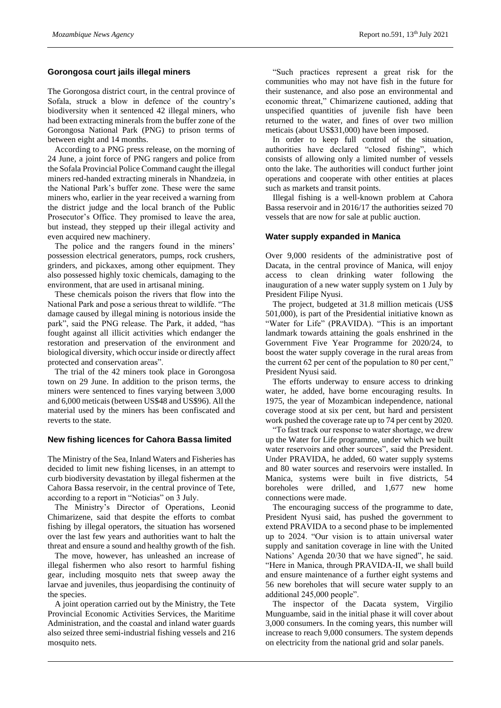### **Gorongosa court jails illegal miners**

The Gorongosa district court, in the central province of Sofala, struck a blow in defence of the country's biodiversity when it sentenced 42 illegal miners, who had been extracting minerals from the buffer zone of the Gorongosa National Park (PNG) to prison terms of between eight and 14 months.

According to a PNG press release, on the morning of 24 June, a joint force of PNG rangers and police from the Sofala Provincial Police Command caught the illegal miners red-handed extracting minerals in Nhandzeia, in the National Park's buffer zone. These were the same miners who, earlier in the year received a warning from the district judge and the local branch of the Public Prosecutor's Office. They promised to leave the area, but instead, they stepped up their illegal activity and even acquired new machinery.

The police and the rangers found in the miners' possession electrical generators, pumps, rock crushers, grinders, and pickaxes, among other equipment. They also possessed highly toxic chemicals, damaging to the environment, that are used in artisanal mining.

These chemicals poison the rivers that flow into the National Park and pose a serious threat to wildlife. "The damage caused by illegal mining is notorious inside the park", said the PNG release. The Park, it added, "has fought against all illicit activities which endanger the restoration and preservation of the environment and biological diversity, which occur inside or directly affect protected and conservation areas".

The trial of the 42 miners took place in Gorongosa town on 29 June. In addition to the prison terms, the miners were sentenced to fines varying between 3,000 and 6,000 meticais (between US\$48 and US\$96). All the material used by the miners has been confiscated and reverts to the state.

# **New fishing licences for Cahora Bassa limited**

The Ministry of the Sea, Inland Waters and Fisheries has decided to limit new fishing licenses, in an attempt to curb biodiversity devastation by illegal fishermen at the Cahora Bassa reservoir, in the central province of Tete, according to a report in "Noticias" on 3 July.

The Ministry's Director of Operations, Leonid Chimarizene, said that despite the efforts to combat fishing by illegal operators, the situation has worsened over the last few years and authorities want to halt the threat and ensure a sound and healthy growth of the fish.

The move, however, has unleashed an increase of illegal fishermen who also resort to harmful fishing gear, including mosquito nets that sweep away the larvae and juveniles, thus jeopardising the continuity of the species.

A joint operation carried out by the Ministry, the Tete Provincial Economic Activities Services, the Maritime Administration, and the coastal and inland water guards also seized three semi-industrial fishing vessels and 216 mosquito nets.

"Such practices represent a great risk for the communities who may not have fish in the future for their sustenance, and also pose an environmental and economic threat," Chimarizene cautioned, adding that unspecified quantities of juvenile fish have been returned to the water, and fines of over two million meticais (about US\$31,000) have been imposed.

In order to keep full control of the situation, authorities have declared "closed fishing", which consists of allowing only a limited number of vessels onto the lake. The authorities will conduct further joint operations and cooperate with other entities at places such as markets and transit points.

Illegal fishing is a well-known problem at Cahora Bassa reservoir and in 2016/17 the authorities seized 70 vessels that are now for sale at public auction.

# **Water supply expanded in Manica**

Over 9,000 residents of the administrative post of Dacata, in the central province of Manica, will enjoy access to clean drinking water following the inauguration of a new water supply system on 1 July by President Filipe Nyusi.

The project, budgeted at 31.8 million meticais (US\$ 501,000), is part of the Presidential initiative known as "Water for Life" (PRAVIDA). "This is an important landmark towards attaining the goals enshrined in the Government Five Year Programme for 2020/24, to boost the water supply coverage in the rural areas from the current 62 per cent of the population to 80 per cent," President Nyusi said.

The efforts underway to ensure access to drinking water, he added, have borne encouraging results. In 1975, the year of Mozambican independence, national coverage stood at six per cent, but hard and persistent work pushed the coverage rate up to 74 per cent by 2020.

"To fast track our response to water shortage, we drew up the Water for Life programme, under which we built water reservoirs and other sources", said the President. Under PRAVIDA, he added, 60 water supply systems and 80 water sources and reservoirs were installed. In Manica, systems were built in five districts, 54 boreholes were drilled, and 1,677 new home connections were made.

The encouraging success of the programme to date, President Nyusi said, has pushed the government to extend PRAVIDA to a second phase to be implemented up to 2024. "Our vision is to attain universal water supply and sanitation coverage in line with the United Nations' Agenda 20/30 that we have signed", he said. "Here in Manica, through PRAVIDA-II, we shall build and ensure maintenance of a further eight systems and 56 new boreholes that will secure water supply to an additional 245,000 people".

The inspector of the Dacata system, Virgilio Munguambe, said in the initial phase it will cover about 3,000 consumers. In the coming years, this number will increase to reach 9,000 consumers. The system depends on electricity from the national grid and solar panels.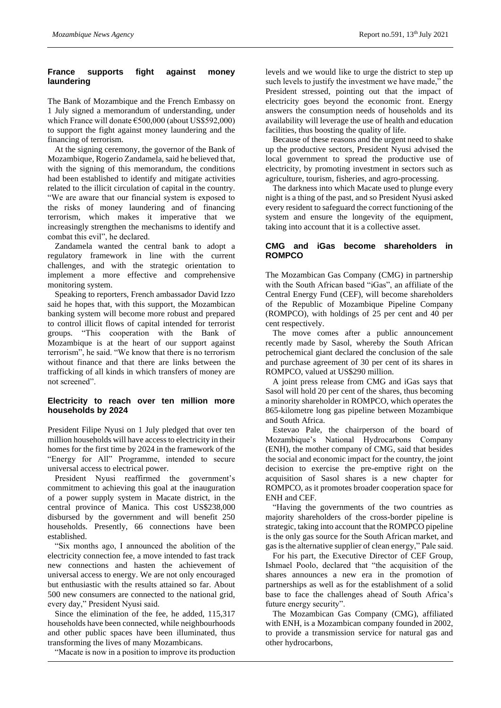# **France supports fight against money laundering**

The Bank of Mozambique and the French Embassy on 1 July signed a memorandum of understanding, under which France will donate €500,000 (about US\$592,000) to support the fight against money laundering and the financing of terrorism.

At the signing ceremony, the governor of the Bank of Mozambique, Rogerio Zandamela, said he believed that, with the signing of this memorandum, the conditions had been established to identify and mitigate activities related to the illicit circulation of capital in the country. "We are aware that our financial system is exposed to the risks of money laundering and of financing terrorism, which makes it imperative that we increasingly strengthen the mechanisms to identify and combat this evil", he declared.

Zandamela wanted the central bank to adopt a regulatory framework in line with the current challenges, and with the strategic orientation to implement a more effective and comprehensive monitoring system.

Speaking to reporters, French ambassador David Izzo said he hopes that, with this support, the Mozambican banking system will become more robust and prepared to control illicit flows of capital intended for terrorist groups. "This cooperation with the Bank of Mozambique is at the heart of our support against terrorism", he said. "We know that there is no terrorism without finance and that there are links between the trafficking of all kinds in which transfers of money are not screened".

# **Electricity to reach over ten million more households by 2024**

President Filipe Nyusi on 1 July pledged that over ten million households will have access to electricity in their homes for the first time by 2024 in the framework of the "Energy for All" Programme, intended to secure universal access to electrical power.

President Nyusi reaffirmed the government's commitment to achieving this goal at the inauguration of a power supply system in Macate district, in the central province of Manica. This cost US\$238,000 disbursed by the government and will benefit 250 households. Presently, 66 connections have been established.

"Six months ago, I announced the abolition of the electricity connection fee, a move intended to fast track new connections and hasten the achievement of universal access to energy. We are not only encouraged but enthusiastic with the results attained so far. About 500 new consumers are connected to the national grid, every day," President Nyusi said.

Since the elimination of the fee, he added, 115,317 households have been connected, while neighbourhoods and other public spaces have been illuminated, thus transforming the lives of many Mozambicans.

"Macate is now in a position to improve its production

levels and we would like to urge the district to step up such levels to justify the investment we have made," the President stressed, pointing out that the impact of electricity goes beyond the economic front. Energy answers the consumption needs of households and its availability will leverage the use of health and education facilities, thus boosting the quality of life.

Because of these reasons and the urgent need to shake up the productive sectors, President Nyusi advised the local government to spread the productive use of electricity, by promoting investment in sectors such as agriculture, tourism, fisheries, and agro-processing.

The darkness into which Macate used to plunge every night is a thing of the past, and so President Nyusi asked every resident to safeguard the correct functioning of the system and ensure the longevity of the equipment, taking into account that it is a collective asset.

# **CMG and iGas become shareholders in ROMPCO**

The Mozambican Gas Company (CMG) in partnership with the South African based "iGas", an affiliate of the Central Energy Fund (CEF), will become shareholders of the Republic of Mozambique Pipeline Company (ROMPCO), with holdings of 25 per cent and 40 per cent respectively.

The move comes after a public announcement recently made by Sasol, whereby the South African petrochemical giant declared the conclusion of the sale and purchase agreement of 30 per cent of its shares in ROMPCO, valued at US\$290 million.

A joint press release from CMG and iGas says that Sasol will hold 20 per cent of the shares, thus becoming a minority shareholder in ROMPCO, which operates the 865-kilometre long gas pipeline between Mozambique and South Africa.

Estevao Pale, the chairperson of the board of Mozambique's National Hydrocarbons Company (ENH), the mother company of CMG, said that besides the social and economic impact for the country, the joint decision to exercise the pre-emptive right on the acquisition of Sasol shares is a new chapter for ROMPCO, as it promotes broader cooperation space for ENH and CEF.

"Having the governments of the two countries as majority shareholders of the cross-border pipeline is strategic, taking into account that the ROMPCO pipeline is the only gas source for the South African market, and gas is the alternative supplier of clean energy," Pale said.

For his part, the Executive Director of CEF Group, Ishmael Poolo, declared that "the acquisition of the shares announces a new era in the promotion of partnerships as well as for the establishment of a solid base to face the challenges ahead of South Africa's future energy security".

The Mozambican Gas Company (CMG), affiliated with ENH, is a Mozambican company founded in 2002, to provide a transmission service for natural gas and other hydrocarbons,